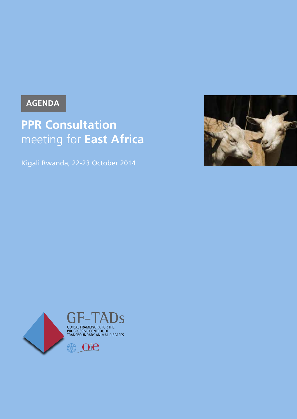## **AGENDA**

# **PPR Consultation** meeting for **East Africa**

Kigali Rwanda, 22-23 October 2014